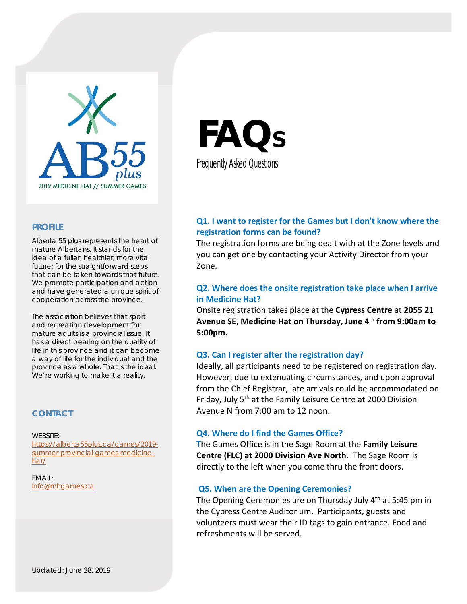

### **PROFILE**

Alberta 55 plus represents the heart of mature Albertans. It stands for the idea of a fuller, healthier, more vital future; for the straightforward steps that can be taken towards that future. We promote participation and action and have generated a unique spirit of cooperation across the province.

The association believes that sport and recreation development for mature adults is a provincial issue. It has a direct bearing on the quality of life in this province and it can become a way of life for the individual and the province as a whole. That is the ideal. We're working to make it a reality.

# **CONTACT**

hat/

WEBSITE: https://alberta55plus.ca/games/2019 summer-provincial-games-medicine-

EMAIL: info@mhgames.ca

**FAQS** Frequently Asked Questions

# **Q1. I want to register for the Games but I don't know where the registration forms can be found?**

The registration forms are being dealt with at the Zone levels and you can get one by contacting your Activity Director from your Zone.

# **Q2. Where does the onsite registration take place when I arrive in Medicine Hat?**

Onsite registration takes place at the **Cypress Centre** at **2055 21 Avenue SE, Medicine Hat on Thursday, June 4th from 9:00am to 5:00pm.** 

## **Q3. Can I register after the registration day?**

Ideally, all participants need to be registered on registration day. However, due to extenuating circumstances, and upon approval from the Chief Registrar, late arrivals could be accommodated on Friday, July 5<sup>th</sup> at the Family Leisure Centre at 2000 Division Avenue N from 7:00 am to 12 noon.

#### **Q4. Where do I find the Games Office?**

The Games Office is in the Sage Room at the **Family Leisure Centre (FLC) at 2000 Division Ave North.** The Sage Room is directly to the left when you come thru the front doors.

## **Q5. When are the Opening Ceremonies?**

The Opening Ceremonies are on Thursday July 4<sup>th</sup> at 5:45 pm in the Cypress Centre Auditorium. Participants, guests and volunteers must wear their ID tags to gain entrance. Food and refreshments will be served.